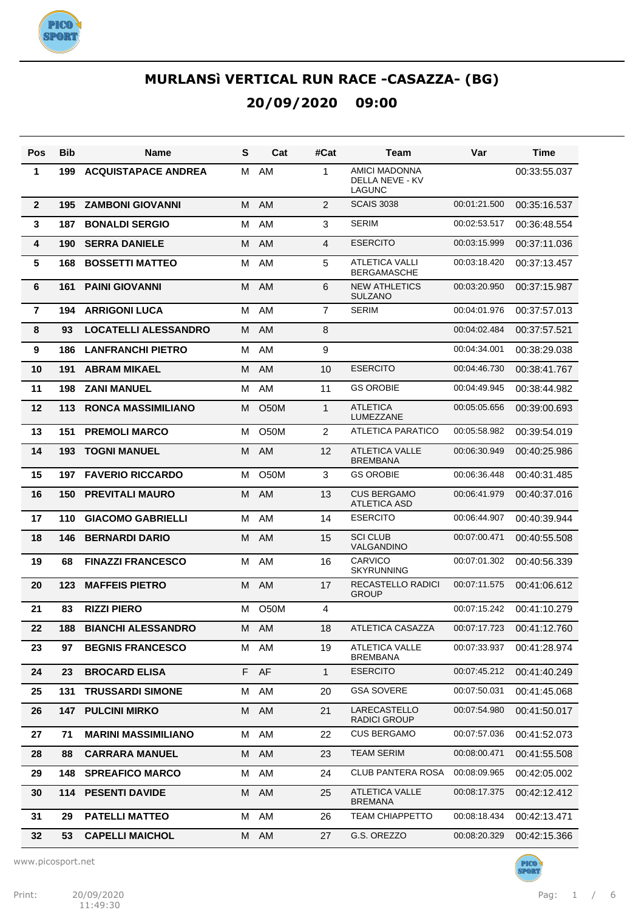

| Pos            | Bib | <b>Name</b>                 | S | Cat               | #Cat           | Team                                              | Var          | Time         |
|----------------|-----|-----------------------------|---|-------------------|----------------|---------------------------------------------------|--------------|--------------|
| 1              | 199 | <b>ACQUISTAPACE ANDREA</b>  | м | AM                | 1              | AMICI MADONNA<br>DELLA NEVE - KV<br><b>LAGUNC</b> |              | 00:33:55.037 |
| $\mathbf{2}$   | 195 | <b>ZAMBONI GIOVANNI</b>     | м | AM                | 2              | <b>SCAIS 3038</b>                                 | 00:01:21.500 | 00:35:16.537 |
| $\mathbf{3}$   | 187 | <b>BONALDI SERGIO</b>       | м | AM                | 3              | <b>SERIM</b>                                      | 00:02:53.517 | 00:36:48.554 |
| 4              | 190 | <b>SERRA DANIELE</b>        | M | <b>AM</b>         | 4              | <b>ESERCITO</b>                                   | 00:03:15.999 | 00:37:11.036 |
| $5\phantom{1}$ | 168 | <b>BOSSETTI MATTEO</b>      | M | AM                | 5              | <b>ATLETICA VALLI</b><br><b>BERGAMASCHE</b>       | 00:03:18.420 | 00:37:13.457 |
| 6              | 161 | <b>PAINI GIOVANNI</b>       | M | AM                | 6              | <b>NEW ATHLETICS</b><br><b>SULZANO</b>            | 00:03:20.950 | 00:37:15.987 |
| $\overline{7}$ | 194 | <b>ARRIGONI LUCA</b>        | M | AM                | $\overline{7}$ | <b>SERIM</b>                                      | 00:04:01.976 | 00:37:57.013 |
| 8              | 93  | <b>LOCATELLI ALESSANDRO</b> | М | <b>AM</b>         | 8              |                                                   | 00:04:02.484 | 00:37:57.521 |
| 9              | 186 | <b>LANFRANCHI PIETRO</b>    | м | AM                | 9              |                                                   | 00:04:34.001 | 00:38:29.038 |
| 10             | 191 | <b>ABRAM MIKAEL</b>         | м | <b>AM</b>         | 10             | <b>ESERCITO</b>                                   | 00:04:46.730 | 00:38:41.767 |
| 11             | 198 | <b>ZANI MANUEL</b>          | м | AM                | 11             | <b>GS OROBIE</b>                                  | 00:04:49.945 | 00:38:44.982 |
| 12             | 113 | <b>RONCA MASSIMILIANO</b>   | м | O <sub>50</sub> M | $\mathbf{1}$   | <b>ATLETICA</b><br>LUMEZZANE                      | 00:05:05.656 | 00:39:00.693 |
| 13             | 151 | <b>PREMOLI MARCO</b>        | м | <b>O50M</b>       | 2              | ATLETICA PARATICO                                 | 00:05:58.982 | 00:39:54.019 |
| 14             | 193 | <b>TOGNI MANUEL</b>         | M | <b>AM</b>         | 12             | <b>ATLETICA VALLE</b><br><b>BREMBANA</b>          | 00:06:30.949 | 00:40:25.986 |
| 15             | 197 | <b>FAVERIO RICCARDO</b>     | м | <b>O50M</b>       | 3              | <b>GS OROBIE</b>                                  | 00:06:36.448 | 00:40:31.485 |
| 16             | 150 | <b>PREVITALI MAURO</b>      | M | AM                | 13             | <b>CUS BERGAMO</b><br>ATLETICA ASD                | 00:06:41.979 | 00:40:37.016 |
| 17             | 110 | <b>GIACOMO GABRIELLI</b>    | м | AM                | 14             | <b>ESERCITO</b>                                   | 00:06:44.907 | 00:40:39.944 |
| 18             | 146 | <b>BERNARDI DARIO</b>       | м | <b>AM</b>         | 15             | <b>SCI CLUB</b><br><b>VALGANDINO</b>              | 00:07:00.471 | 00:40:55.508 |
| 19             | 68  | <b>FINAZZI FRANCESCO</b>    | м | AM                | 16             | <b>CARVICO</b><br><b>SKYRUNNING</b>               | 00:07:01.302 | 00:40:56.339 |
| 20             | 123 | <b>MAFFEIS PIETRO</b>       | М | AM                | 17             | <b>RECASTELLO RADICI</b><br><b>GROUP</b>          | 00:07:11.575 | 00:41:06.612 |
| 21             | 83  | <b>RIZZI PIERO</b>          | м | <b>O50M</b>       | 4              |                                                   | 00:07:15.242 | 00:41:10.279 |
| 22             | 188 | <b>BIANCHI ALESSANDRO</b>   |   | M AM              | 18             | ATLETICA CASAZZA                                  | 00:07:17.723 | 00:41:12.760 |
| 23             | 97  | <b>BEGNIS FRANCESCO</b>     |   | M AM              | 19             | ATLETICA VALLE<br><b>BREMBANA</b>                 | 00:07:33.937 | 00:41:28.974 |
| 24             | 23  | <b>BROCARD ELISA</b>        |   | F AF              | $\mathbf{1}$   | <b>ESERCITO</b>                                   | 00:07:45.212 | 00:41:40.249 |
| 25             | 131 | <b>TRUSSARDI SIMONE</b>     |   | M AM              | 20             | <b>GSA SOVERE</b>                                 | 00:07:50.031 | 00:41:45.068 |
| 26             | 147 | <b>PULCINI MIRKO</b>        |   | M AM              | 21             | LARECASTELLO<br><b>RADICI GROUP</b>               | 00:07:54.980 | 00:41:50.017 |
| 27             | 71  | <b>MARINI MASSIMILIANO</b>  |   | M AM              | 22             | <b>CUS BERGAMO</b>                                | 00:07:57.036 | 00:41:52.073 |
| 28             | 88  | <b>CARRARA MANUEL</b>       |   | M AM              | 23             | <b>TEAM SERIM</b>                                 | 00:08:00.471 | 00:41:55.508 |
| 29             | 148 | <b>SPREAFICO MARCO</b>      | М | AM                | 24             | CLUB PANTERA ROSA                                 | 00:08:09.965 | 00:42:05.002 |
| 30             | 114 | <b>PESENTI DAVIDE</b>       | M | AM                | 25             | <b>ATLETICA VALLE</b><br><b>BREMANA</b>           | 00:08:17.375 | 00:42:12.412 |
| 31             | 29  | <b>PATELLI MATTEO</b>       | M | AM                | 26             | <b>TEAM CHIAPPETTO</b>                            | 00:08:18.434 | 00:42:13.471 |
| 32             | 53  | <b>CAPELLI MAICHOL</b>      |   | M AM              | 27             | G.S. OREZZO                                       | 00:08:20.329 | 00:42:15.366 |

www.picosport.net

**PICO<sup>.</sup>**<br>SPORT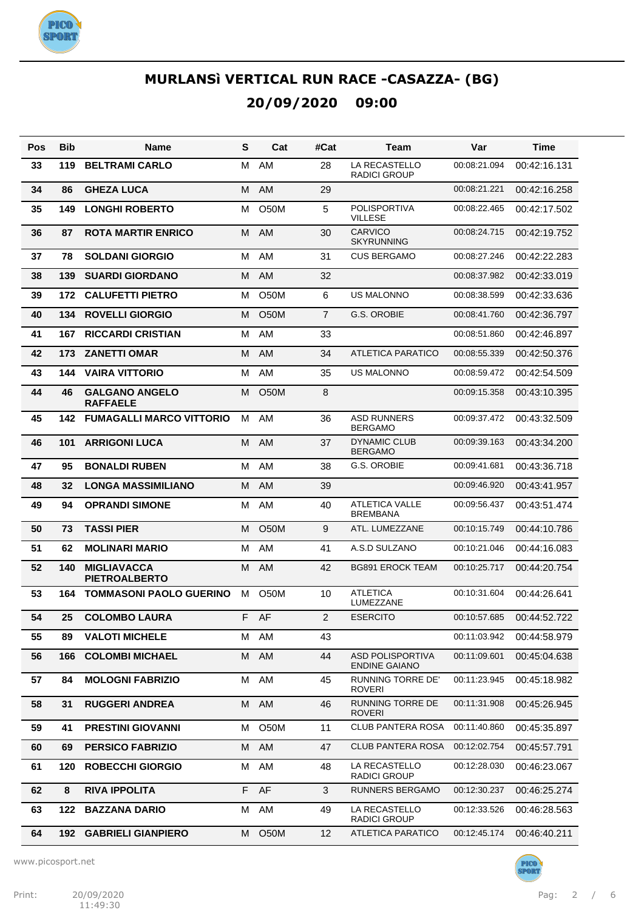

| Pos | <b>Bib</b> | <b>Name</b>                                | S | Cat               | #Cat           | Team                                            | Var          | Time         |
|-----|------------|--------------------------------------------|---|-------------------|----------------|-------------------------------------------------|--------------|--------------|
| 33  | 119        | <b>BELTRAMI CARLO</b>                      | м | AM                | 28             | LA RECASTELLO<br><b>RADICI GROUP</b>            | 00:08:21.094 | 00:42:16.131 |
| 34  | 86         | <b>GHEZA LUCA</b>                          | M | AM                | 29             |                                                 | 00:08:21.221 | 00:42:16.258 |
| 35  | 149        | <b>LONGHI ROBERTO</b>                      | м | <b>O50M</b>       | 5              | <b>POLISPORTIVA</b><br>VILLESE                  | 00:08:22.465 | 00:42:17.502 |
| 36  | 87         | <b>ROTA MARTIR ENRICO</b>                  | м | AM                | 30             | <b>CARVICO</b><br><b>SKYRUNNING</b>             | 00:08:24.715 | 00:42:19.752 |
| 37  | 78         | <b>SOLDANI GIORGIO</b>                     | м | AM                | 31             | <b>CUS BERGAMO</b>                              | 00:08:27.246 | 00:42:22.283 |
| 38  | 139        | <b>SUARDI GIORDANO</b>                     | м | AM                | 32             |                                                 | 00:08:37.982 | 00:42:33.019 |
| 39  | 172        | <b>CALUFETTI PIETRO</b>                    | м | <b>O50M</b>       | 6              | <b>US MALONNO</b>                               | 00:08:38.599 | 00:42:33.636 |
| 40  | 134        | <b>ROVELLI GIORGIO</b>                     | м | <b>O50M</b>       | $\overline{7}$ | <b>G.S. OROBIE</b>                              | 00:08:41.760 | 00:42:36.797 |
| 41  | 167        | <b>RICCARDI CRISTIAN</b>                   | M | AM                | 33             |                                                 | 00:08:51.860 | 00:42:46.897 |
| 42  | 173        | <b>ZANETTI OMAR</b>                        | м | AM                | 34             | <b>ATLETICA PARATICO</b>                        | 00:08:55.339 | 00:42:50.376 |
| 43  | 144        | <b>VAIRA VITTORIO</b>                      | м | AM                | 35             | <b>US MALONNO</b>                               | 00:08:59.472 | 00:42:54.509 |
| 44  | 46         | <b>GALGANO ANGELO</b><br><b>RAFFAELE</b>   | м | <b>O50M</b>       | 8              |                                                 | 00:09:15.358 | 00:43:10.395 |
| 45  | 142        | <b>FUMAGALLI MARCO VITTORIO</b>            | м | AM                | 36             | <b>ASD RUNNERS</b><br><b>BERGAMO</b>            | 00:09:37.472 | 00:43:32.509 |
| 46  | 101        | <b>ARRIGONI LUCA</b>                       | м | AM                | 37             | <b>DYNAMIC CLUB</b><br><b>BERGAMO</b>           | 00:09:39.163 | 00:43:34.200 |
| 47  | 95         | <b>BONALDI RUBEN</b>                       | м | AM                | 38             | G.S. OROBIE                                     | 00:09:41.681 | 00:43:36.718 |
| 48  | 32         | <b>LONGA MASSIMILIANO</b>                  | M | AM                | 39             |                                                 | 00:09:46.920 | 00:43:41.957 |
| 49  | 94         | <b>OPRANDI SIMONE</b>                      | м | AM                | 40             | <b>ATLETICA VALLE</b><br><b>BREMBANA</b>        | 00:09:56.437 | 00:43:51.474 |
| 50  | 73         | <b>TASSI PIER</b>                          | м | <b>O50M</b>       | 9              | ATL. LUMEZZANE                                  | 00:10:15.749 | 00:44:10.786 |
| 51  | 62         | <b>MOLINARI MARIO</b>                      | м | AM                | 41             | A.S.D SULZANO                                   | 00:10:21.046 | 00:44:16.083 |
| 52  | 140        | <b>MIGLIAVACCA</b><br><b>PIETROALBERTO</b> | м | AM                | 42             | <b>BG891 EROCK TEAM</b>                         | 00:10:25.717 | 00:44:20.754 |
| 53  | 164        | <b>TOMMASONI PAOLO GUERINO</b>             | M | <b>O50M</b>       | 10             | <b>ATLETICA</b><br>LUMEZZANE                    | 00:10:31.604 | 00:44:26.641 |
| 54  | 25         | <b>COLOMBO LAURA</b>                       |   | F AF              | $\overline{2}$ | <b>ESERCITO</b>                                 | 00:10:57.685 | 00:44:52.722 |
| 55  | 89         | <b>VALOTI MICHELE</b>                      |   | M AM              | 43             |                                                 | 00:11:03.942 | 00:44:58.979 |
| 56  | 166        | <b>COLOMBI MICHAEL</b>                     | м | AM                | 44             | <b>ASD POLISPORTIVA</b><br><b>ENDINE GAIANO</b> | 00:11:09.601 | 00:45:04.638 |
| 57  | 84         | <b>MOLOGNI FABRIZIO</b>                    | М | AM                | 45             | <b>RUNNING TORRE DE'</b><br>ROVERI              | 00:11:23.945 | 00:45:18.982 |
| 58  | 31         | <b>RUGGERI ANDREA</b>                      | М | AM                | 46             | RUNNING TORRE DE<br>ROVERI                      | 00:11:31.908 | 00:45:26.945 |
| 59  | 41         | <b>PRESTINI GIOVANNI</b>                   | м | O50M              | 11             | CLUB PANTERA ROSA                               | 00:11:40.860 | 00:45:35.897 |
| 60  | 69         | <b>PERSICO FABRIZIO</b>                    | M | AM                | 47             | CLUB PANTERA ROSA                               | 00:12:02.754 | 00:45:57.791 |
| 61  | 120        | <b>ROBECCHI GIORGIO</b>                    | м | AM                | 48             | LA RECASTELLO<br><b>RADICI GROUP</b>            | 00:12:28.030 | 00:46:23.067 |
| 62  | 8          | <b>RIVA IPPOLITA</b>                       | F | AF                | 3              | <b>RUNNERS BERGAMO</b>                          | 00:12:30.237 | 00:46:25.274 |
| 63  | 122        | <b>BAZZANA DARIO</b>                       | м | AM                | 49             | LA RECASTELLO<br>RADICI GROUP                   | 00:12:33.526 | 00:46:28.563 |
| 64  |            | <b>192 GABRIELI GIANPIERO</b>              | м | O <sub>5</sub> 0M | 12             | <b>ATLETICA PARATICO</b>                        | 00:12:45.174 | 00:46:40.211 |

www.picosport.net

**PICO<sup>.</sup>**<br>SPORT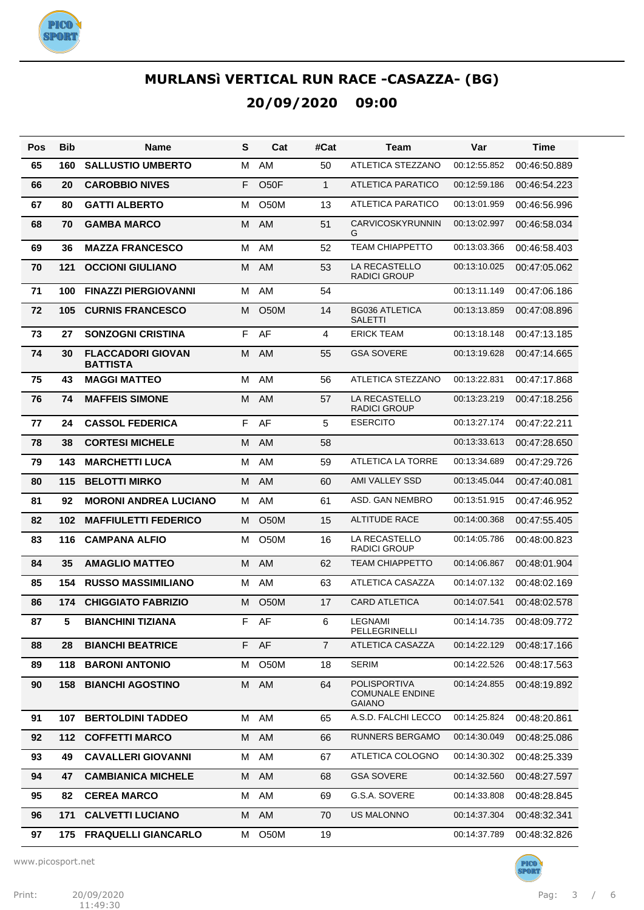

| Pos | Bib | <b>Name</b>                                 | S | Cat               | #Cat           | Team                                                           | Var          | Time         |
|-----|-----|---------------------------------------------|---|-------------------|----------------|----------------------------------------------------------------|--------------|--------------|
| 65  | 160 | <b>SALLUSTIO UMBERTO</b>                    | M | AM                | 50             | <b>ATLETICA STEZZANO</b>                                       | 00:12:55.852 | 00:46:50.889 |
| 66  | 20  | <b>CAROBBIO NIVES</b>                       | F | O <sub>5</sub> OF | $\mathbf{1}$   | <b>ATLETICA PARATICO</b>                                       | 00:12:59.186 | 00:46:54.223 |
| 67  | 80  | <b>GATTI ALBERTO</b>                        | м | <b>O50M</b>       | 13             | <b>ATLETICA PARATICO</b>                                       | 00:13:01.959 | 00:46:56.996 |
| 68  | 70  | <b>GAMBA MARCO</b>                          | M | AM                | 51             | <b>CARVICOSKYRUNNIN</b><br>G                                   | 00:13:02.997 | 00:46:58.034 |
| 69  | 36  | <b>MAZZA FRANCESCO</b>                      | М | AM                | 52             | <b>TEAM CHIAPPETTO</b>                                         | 00:13:03.366 | 00:46:58.403 |
| 70  | 121 | <b>OCCIONI GIULIANO</b>                     | M | AM                | 53             | LA RECASTELLO<br><b>RADICI GROUP</b>                           | 00:13:10.025 | 00:47:05.062 |
| 71  | 100 | <b>FINAZZI PIERGIOVANNI</b>                 | M | AM                | 54             |                                                                | 00:13:11.149 | 00:47:06.186 |
| 72  | 105 | <b>CURNIS FRANCESCO</b>                     | м | <b>O50M</b>       | 14             | <b>BG036 ATLETICA</b><br><b>SALETTI</b>                        | 00:13:13.859 | 00:47:08.896 |
| 73  | 27  | <b>SONZOGNI CRISTINA</b>                    | F | AF                | 4              | <b>ERICK TEAM</b>                                              | 00:13:18.148 | 00:47:13.185 |
| 74  | 30  | <b>FLACCADORI GIOVAN</b><br><b>BATTISTA</b> | М | AM                | 55             | <b>GSA SOVERE</b>                                              | 00:13:19.628 | 00:47:14.665 |
| 75  | 43  | <b>MAGGI MATTEO</b>                         | M | AM                | 56             | ATLETICA STEZZANO                                              | 00:13:22.831 | 00:47:17.868 |
| 76  | 74  | <b>MAFFEIS SIMONE</b>                       | м | AM                | 57             | LA RECASTELLO<br><b>RADICI GROUP</b>                           | 00:13:23.219 | 00:47:18.256 |
| 77  | 24  | <b>CASSOL FEDERICA</b>                      | F | AF                | 5              | <b>ESERCITO</b>                                                | 00:13:27.174 | 00:47:22.211 |
| 78  | 38  | <b>CORTESI MICHELE</b>                      | м | <b>AM</b>         | 58             |                                                                | 00:13:33.613 | 00:47:28.650 |
| 79  | 143 | <b>MARCHETTI LUCA</b>                       | M | AM                | 59             | ATLETICA LA TORRE                                              | 00:13:34.689 | 00:47:29.726 |
| 80  | 115 | <b>BELOTTI MIRKO</b>                        | м | <b>AM</b>         | 60             | AMI VALLEY SSD                                                 | 00:13:45.044 | 00:47:40.081 |
| 81  | 92  | <b>MORONI ANDREA LUCIANO</b>                | м | AM                | 61             | ASD. GAN NEMBRO                                                | 00:13:51.915 | 00:47:46.952 |
| 82  | 102 | <b>MAFFIULETTI FEDERICO</b>                 | м | O <sub>5</sub> 0M | 15             | <b>ALTITUDE RACE</b>                                           | 00:14:00.368 | 00:47:55.405 |
| 83  | 116 | <b>CAMPANA ALFIO</b>                        | м | O <sub>5</sub> 0M | 16             | LA RECASTELLO<br><b>RADICI GROUP</b>                           | 00:14:05.786 | 00:48:00.823 |
| 84  | 35  | <b>AMAGLIO MATTEO</b>                       | M | AM                | 62             | <b>TEAM CHIAPPETTO</b>                                         | 00:14:06.867 | 00:48:01.904 |
| 85  | 154 | <b>RUSSO MASSIMILIANO</b>                   | м | AM                | 63             | <b>ATLETICA CASAZZA</b>                                        | 00:14:07.132 | 00:48:02.169 |
| 86  | 174 | <b>CHIGGIATO FABRIZIO</b>                   | M | O <sub>5</sub> 0M | 17             | <b>CARD ATLETICA</b>                                           | 00:14:07.541 | 00:48:02.578 |
| 87  | 5   | <b>BIANCHINI TIZIANA</b>                    | F | AF                | 6              | LEGNAMI<br>PELLEGRINELLI                                       | 00:14:14.735 | 00:48:09.772 |
| 88  | 28  | <b>BIANCHI BEATRICE</b>                     |   | F AF              | $\overline{7}$ | ATLETICA CASAZZA                                               | 00:14:22.129 | 00:48:17.166 |
| 89  | 118 | <b>BARONI ANTONIO</b>                       | м | O <sub>5</sub> 0M | 18             | <b>SERIM</b>                                                   | 00:14:22.526 | 00:48:17.563 |
| 90  | 158 | <b>BIANCHI AGOSTINO</b>                     |   | M AM              | 64             | <b>POLISPORTIVA</b><br><b>COMUNALE ENDINE</b><br><b>GAIANO</b> | 00:14:24.855 | 00:48:19.892 |
| 91  | 107 | <b>BERTOLDINI TADDEO</b>                    |   | M AM              | 65             | A.S.D. FALCHI LECCO                                            | 00:14:25.824 | 00:48:20.861 |
| 92  | 112 | <b>COFFETTI MARCO</b>                       |   | M AM              | 66             | RUNNERS BERGAMO                                                | 00:14:30.049 | 00:48:25.086 |
| 93  | 49  | <b>CAVALLERI GIOVANNI</b>                   | м | AM                | 67             | ATLETICA COLOGNO                                               | 00:14:30.302 | 00:48:25.339 |
| 94  | 47  | <b>CAMBIANICA MICHELE</b>                   | М | AM                | 68             | <b>GSA SOVERE</b>                                              | 00:14:32.560 | 00:48:27.597 |
| 95  | 82  | <b>CEREA MARCO</b>                          | м | AM                | 69             | G.S.A. SOVERE                                                  | 00:14:33.808 | 00:48:28.845 |
| 96  | 171 | <b>CALVETTI LUCIANO</b>                     | М | AM                | 70             | <b>US MALONNO</b>                                              | 00:14:37.304 | 00:48:32.341 |
| 97  | 175 | <b>FRAQUELLI GIANCARLO</b>                  | м | O50M              | 19             |                                                                | 00:14:37.789 | 00:48:32.826 |

www.picosport.net

PICO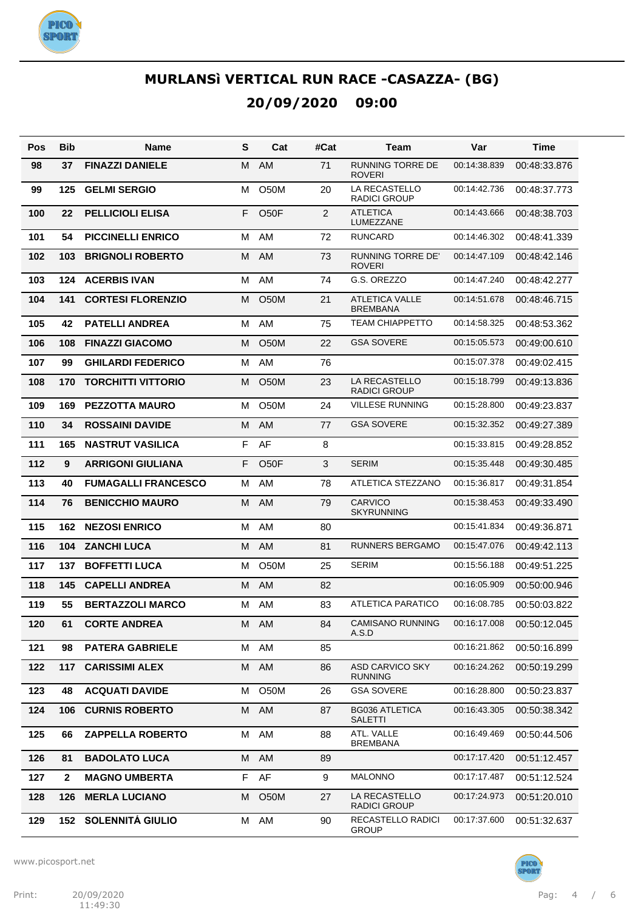

| Pos | Bib          | <b>Name</b>                | S | Cat               | #Cat | Team                                      | Var          | Time         |
|-----|--------------|----------------------------|---|-------------------|------|-------------------------------------------|--------------|--------------|
| 98  | 37           | <b>FINAZZI DANIELE</b>     | M | AM                | 71   | <b>RUNNING TORRE DE</b><br><b>ROVERI</b>  | 00:14:38.839 | 00:48:33.876 |
| 99  | 125          | <b>GELMI SERGIO</b>        | м | <b>O50M</b>       | 20   | LA RECASTELLO<br><b>RADICI GROUP</b>      | 00:14:42.736 | 00:48:37.773 |
| 100 | 22           | <b>PELLICIOLI ELISA</b>    | F | O <sub>5</sub> OF | 2    | <b>ATLETICA</b><br>LUMEZZANE              | 00:14:43.666 | 00:48:38.703 |
| 101 | 54           | <b>PICCINELLI ENRICO</b>   | M | AM                | 72   | <b>RUNCARD</b>                            | 00:14:46.302 | 00:48:41.339 |
| 102 | 103          | <b>BRIGNOLI ROBERTO</b>    | M | AM                | 73   | <b>RUNNING TORRE DE'</b><br><b>ROVERI</b> | 00:14:47.109 | 00:48:42.146 |
| 103 | 124          | <b>ACERBIS IVAN</b>        | м | AM                | 74   | G.S. OREZZO                               | 00:14:47.240 | 00:48:42.277 |
| 104 | 141          | <b>CORTESI FLORENZIO</b>   | м | <b>O50M</b>       | 21   | <b>ATLETICA VALLE</b><br><b>BREMBANA</b>  | 00:14:51.678 | 00:48:46.715 |
| 105 | 42           | <b>PATELLI ANDREA</b>      | M | AM                | 75   | <b>TEAM CHIAPPETTO</b>                    | 00:14:58.325 | 00:48:53.362 |
| 106 | 108          | <b>FINAZZI GIACOMO</b>     | M | <b>O50M</b>       | 22   | <b>GSA SOVERE</b>                         | 00:15:05.573 | 00:49:00.610 |
| 107 | 99           | <b>GHILARDI FEDERICO</b>   | M | AM                | 76   |                                           | 00:15:07.378 | 00:49:02.415 |
| 108 | 170          | <b>TORCHITTI VITTORIO</b>  | M | <b>O50M</b>       | 23   | LA RECASTELLO<br><b>RADICI GROUP</b>      | 00:15:18.799 | 00:49:13.836 |
| 109 | 169          | <b>PEZZOTTA MAURO</b>      | м | <b>O50M</b>       | 24   | <b>VILLESE RUNNING</b>                    | 00:15:28.800 | 00:49:23.837 |
| 110 | 34           | <b>ROSSAINI DAVIDE</b>     | M | <b>AM</b>         | 77   | <b>GSA SOVERE</b>                         | 00:15:32.352 | 00:49:27.389 |
| 111 | 165          | <b>NASTRUT VASILICA</b>    | F | AF                | 8    |                                           | 00:15:33.815 | 00:49:28.852 |
| 112 | 9            | <b>ARRIGONI GIULIANA</b>   | F | O <sub>5</sub> OF | 3    | <b>SERIM</b>                              | 00:15:35.448 | 00:49:30.485 |
| 113 | 40           | <b>FUMAGALLI FRANCESCO</b> | M | AM                | 78   | ATLETICA STEZZANO                         | 00:15:36.817 | 00:49:31.854 |
| 114 | 76           | <b>BENICCHIO MAURO</b>     | M | AM                | 79   | <b>CARVICO</b><br><b>SKYRUNNING</b>       | 00:15:38.453 | 00:49:33.490 |
| 115 | 162          | <b>NEZOSI ENRICO</b>       | м | AM                | 80   |                                           | 00:15:41.834 | 00:49:36.871 |
| 116 | 104          | <b>ZANCHI LUCA</b>         | м | AM                | 81   | <b>RUNNERS BERGAMO</b>                    | 00:15:47.076 | 00:49:42.113 |
| 117 | 137          | <b>BOFFETTI LUCA</b>       | М | <b>O50M</b>       | 25   | <b>SERIM</b>                              | 00:15:56.188 | 00:49:51.225 |
| 118 | 145          | <b>CAPELLI ANDREA</b>      | м | AM                | 82   |                                           | 00:16:05.909 | 00:50:00.946 |
| 119 | 55           | <b>BERTAZZOLI MARCO</b>    | м | AM                | 83   | <b>ATLETICA PARATICO</b>                  | 00:16:08.785 | 00:50:03.822 |
| 120 | 61           | <b>CORTE ANDREA</b>        |   | M AM              | 84   | CAMISANO RUNNING<br>A.S.D                 | 00:16:17.008 | 00:50:12.045 |
| 121 | 98           | <b>PATERA GABRIELE</b>     | М | AM                | 85   |                                           | 00:16:21.862 | 00:50:16.899 |
| 122 | 117          | <b>CARISSIMI ALEX</b>      | M | AM                | 86   | ASD CARVICO SKY<br><b>RUNNING</b>         | 00:16:24.262 | 00:50:19.299 |
| 123 | 48           | <b>ACQUATI DAVIDE</b>      | м | O50M              | 26   | <b>GSA SOVERE</b>                         | 00:16:28.800 | 00:50:23.837 |
| 124 | 106          | <b>CURNIS ROBERTO</b>      | М | AM                | 87   | <b>BG036 ATLETICA</b><br><b>SALETTI</b>   | 00:16:43.305 | 00:50:38.342 |
| 125 | 66           | <b>ZAPPELLA ROBERTO</b>    | м | AM                | 88   | ATL. VALLE<br><b>BREMBANA</b>             | 00:16:49.469 | 00:50:44.506 |
| 126 | 81           | <b>BADOLATO LUCA</b>       | M | AM                | 89   |                                           | 00:17:17.420 | 00:51:12.457 |
| 127 | $\mathbf{2}$ | <b>MAGNO UMBERTA</b>       | F | AF                | 9    | <b>MALONNO</b>                            | 00:17:17.487 | 00:51:12.524 |
| 128 | 126          | <b>MERLA LUCIANO</b>       | м | O <sub>5</sub> 0M | 27   | LA RECASTELLO<br><b>RADICI GROUP</b>      | 00:17:24.973 | 00:51:20.010 |
| 129 | 152          | <b>SOLENNITÁ GIULIO</b>    | М | AM                | 90   | RECASTELLO RADICI<br><b>GROUP</b>         | 00:17:37.600 | 00:51:32.637 |

www.picosport.net



PICO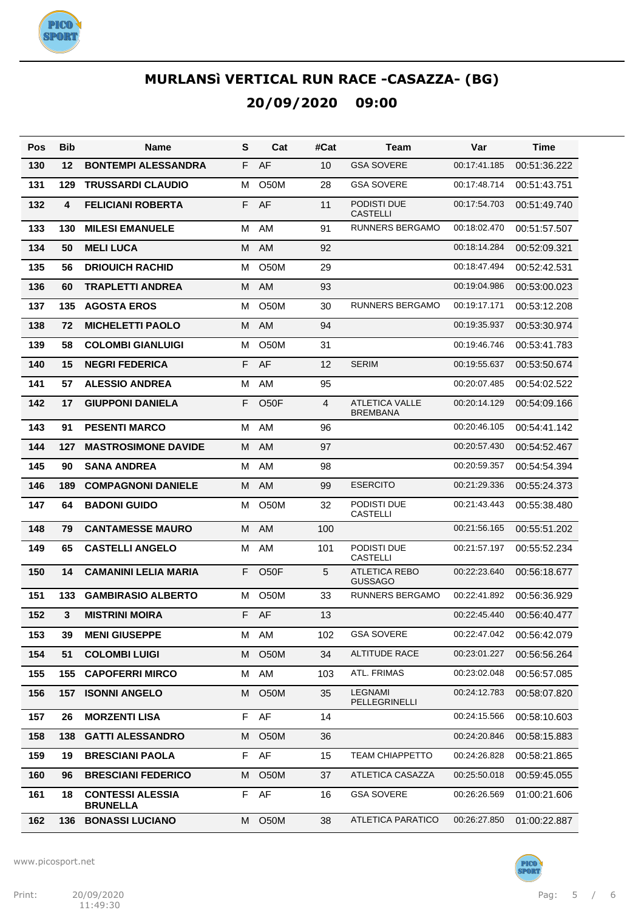

| Pos | <b>Bib</b> | Name                                       | S  | Cat               | #Cat           | Team                                     | Var          | Time         |
|-----|------------|--------------------------------------------|----|-------------------|----------------|------------------------------------------|--------------|--------------|
| 130 | 12         | <b>BONTEMPI ALESSANDRA</b>                 | F  | AF                | 10             | <b>GSA SOVERE</b>                        | 00:17:41.185 | 00:51:36.222 |
| 131 | 129        | <b>TRUSSARDI CLAUDIO</b>                   | м  | <b>O50M</b>       | 28             | <b>GSA SOVERE</b>                        | 00:17:48.714 | 00:51:43.751 |
| 132 | 4          | <b>FELICIANI ROBERTA</b>                   | F. | AF                | 11             | PODISTI DUE<br><b>CASTELLI</b>           | 00:17:54.703 | 00:51:49.740 |
| 133 | 130        | <b>MILESI EMANUELE</b>                     | м  | AM                | 91             | RUNNERS BERGAMO                          | 00:18:02.470 | 00:51:57.507 |
| 134 | 50         | <b>MELILUCA</b>                            | M  | AM                | 92             |                                          | 00:18:14.284 | 00:52:09.321 |
| 135 | 56         | <b>DRIOUICH RACHID</b>                     | м  | <b>O50M</b>       | 29             |                                          | 00:18:47.494 | 00:52:42.531 |
| 136 | 60         | <b>TRAPLETTI ANDREA</b>                    | M  | AM                | 93             |                                          | 00:19:04.986 | 00:53:00.023 |
| 137 | 135        | <b>AGOSTA EROS</b>                         | м  | <b>O50M</b>       | 30             | RUNNERS BERGAMO                          | 00:19:17.171 | 00:53:12.208 |
| 138 | 72         | <b>MICHELETTI PAOLO</b>                    | M  | AM                | 94             |                                          | 00:19:35.937 | 00:53:30.974 |
| 139 | 58         | <b>COLOMBI GIANLUIGI</b>                   | м  | <b>O50M</b>       | 31             |                                          | 00:19:46.746 | 00:53:41.783 |
| 140 | 15         | <b>NEGRI FEDERICA</b>                      | F  | AF                | 12             | <b>SERIM</b>                             | 00:19:55.637 | 00:53:50.674 |
| 141 | 57         | <b>ALESSIO ANDREA</b>                      | M  | AM                | 95             |                                          | 00:20:07.485 | 00:54:02.522 |
| 142 | 17         | <b>GIUPPONI DANIELA</b>                    | F  | O <sub>5</sub> OF | $\overline{4}$ | <b>ATLETICA VALLE</b><br><b>BREMBANA</b> | 00:20:14.129 | 00:54:09.166 |
| 143 | 91         | <b>PESENTI MARCO</b>                       | м  | AM                | 96             |                                          | 00:20:46.105 | 00:54:41.142 |
| 144 | 127        | <b>MASTROSIMONE DAVIDE</b>                 | м  | AM                | 97             |                                          | 00:20:57.430 | 00:54:52.467 |
| 145 | 90         | <b>SANA ANDREA</b>                         | м  | AM                | 98             |                                          | 00:20:59.357 | 00:54:54.394 |
| 146 | 189        | <b>COMPAGNONI DANIELE</b>                  | M  | AM                | 99             | <b>ESERCITO</b>                          | 00:21:29.336 | 00:55:24.373 |
| 147 | 64         | <b>BADONI GUIDO</b>                        | м  | O50M              | 32             | PODISTI DUE<br><b>CASTELLI</b>           | 00:21:43.443 | 00:55:38.480 |
| 148 | 79         | <b>CANTAMESSE MAURO</b>                    | м  | AM                | 100            |                                          | 00:21:56.165 | 00:55:51.202 |
| 149 | 65         | <b>CASTELLI ANGELO</b>                     | м  | AM                | 101            | PODISTI DUE<br><b>CASTELLI</b>           | 00:21:57.197 | 00:55:52.234 |
| 150 | 14         | <b>CAMANINI LELIA MARIA</b>                | F  | O <sub>50</sub> F | 5              | <b>ATLETICA REBO</b><br><b>GUSSAGO</b>   | 00:22:23.640 | 00:56:18.677 |
| 151 | 133        | <b>GAMBIRASIO ALBERTO</b>                  | м  | O50M              | 33             | <b>RUNNERS BERGAMO</b>                   | 00:22:41.892 | 00:56:36.929 |
| 152 | 3          | <b>MISTRINI MOIRA</b>                      | F. | AF                | 13             |                                          | 00:22:45.440 | 00:56:40.477 |
| 153 | 39         | <b>MENI GIUSEPPE</b>                       |    | M AM              | 102            | <b>GSA SOVERE</b>                        | 00:22:47.042 | 00:56:42.079 |
| 154 | 51         | <b>COLOMBI LUIGI</b>                       | М  | O50M              | 34             | <b>ALTITUDE RACE</b>                     | 00:23:01.227 | 00:56:56.264 |
| 155 | 155        | <b>CAPOFERRI MIRCO</b>                     | М  | AM                | 103            | ATL. FRIMAS                              | 00:23:02.048 | 00:56:57.085 |
| 156 | 157        | <b>ISONNI ANGELO</b>                       | М  | O50M              | 35             | LEGNAMI<br>PELLEGRINELLI                 | 00:24:12.783 | 00:58:07.820 |
| 157 | 26         | <b>MORZENTI LISA</b>                       | F. | AF                | 14             |                                          | 00:24:15.566 | 00:58:10.603 |
| 158 | 138        | <b>GATTI ALESSANDRO</b>                    | м  | O <sub>5</sub> 0M | 36             |                                          | 00:24:20.846 | 00:58:15.883 |
| 159 | 19         | <b>BRESCIANI PAOLA</b>                     | F  | AF                | 15             | <b>TEAM CHIAPPETTO</b>                   | 00:24:26.828 | 00:58:21.865 |
| 160 | 96         | <b>BRESCIANI FEDERICO</b>                  | М  | O <sub>5</sub> 0M | 37             | ATLETICA CASAZZA                         | 00:25:50.018 | 00:59:45.055 |
| 161 | 18         | <b>CONTESSI ALESSIA</b><br><b>BRUNELLA</b> | F. | AF                | 16             | <b>GSA SOVERE</b>                        | 00:26:26.569 | 01:00:21.606 |
| 162 | 136        | <b>BONASSI LUCIANO</b>                     | M  | O <sub>5</sub> 0M | 38             | <b>ATLETICA PARATICO</b>                 | 00:26:27.850 | 01:00:22.887 |

www.picosport.net



**PICO<sup>.</sup>**<br>SPORT